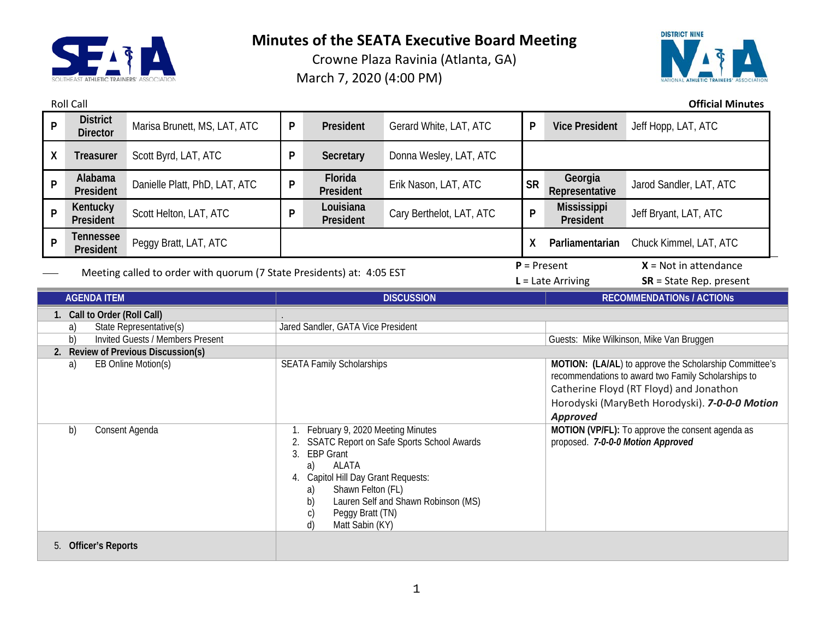

Crowne Plaza Ravinia (Atlanta, GA) March 7, 2020 (4:00 PM)



Roll Call **Official Minutes**

| P                                                                     | <b>District</b><br><b>Director</b> | Marisa Brunett, MS, LAT, ATC                                                                                                                                                                                                                                                                                        | P | President                          | Gerard White, LAT, ATC                                                                                                                                                                                                        | P                                                                                     | <b>Vice President</b>            | Jeff Hopp, LAT, ATC       |  |
|-----------------------------------------------------------------------|------------------------------------|---------------------------------------------------------------------------------------------------------------------------------------------------------------------------------------------------------------------------------------------------------------------------------------------------------------------|---|------------------------------------|-------------------------------------------------------------------------------------------------------------------------------------------------------------------------------------------------------------------------------|---------------------------------------------------------------------------------------|----------------------------------|---------------------------|--|
| X                                                                     | <b>Treasurer</b>                   | Scott Byrd, LAT, ATC                                                                                                                                                                                                                                                                                                | P | Secretary                          | Donna Wesley, LAT, ATC                                                                                                                                                                                                        |                                                                                       |                                  |                           |  |
| P                                                                     | Alabama<br>President               | Danielle Platt, PhD, LAT, ATC                                                                                                                                                                                                                                                                                       | P | Florida<br>President               | Erik Nason, LAT, ATC                                                                                                                                                                                                          | <b>SR</b>                                                                             | Georgia<br>Representative        | Jarod Sandler, LAT, ATC   |  |
| P                                                                     | Kentucky<br>President              | Scott Helton, LAT, ATC                                                                                                                                                                                                                                                                                              | P | Louisiana<br>President             | Cary Berthelot, LAT, ATC                                                                                                                                                                                                      | P                                                                                     | <b>Mississippi</b><br>President  | Jeff Bryant, LAT, ATC     |  |
| P                                                                     | <b>Tennessee</b><br>President      | Peggy Bratt, LAT, ATC                                                                                                                                                                                                                                                                                               |   |                                    | X                                                                                                                                                                                                                             | Parliamentarian                                                                       | Chuck Kimmel, LAT, ATC           |                           |  |
| Meeting called to order with quorum (7 State Presidents) at: 4:05 EST |                                    |                                                                                                                                                                                                                                                                                                                     |   |                                    |                                                                                                                                                                                                                               | $P = Present$                                                                         | $X = Not in attendance$          |                           |  |
|                                                                       |                                    |                                                                                                                                                                                                                                                                                                                     |   |                                    |                                                                                                                                                                                                                               |                                                                                       | $L =$ Late Arriving              | $SR = State Rep. present$ |  |
|                                                                       | <b>AGENDA ITEM</b>                 |                                                                                                                                                                                                                                                                                                                     |   | <b>DISCUSSION</b>                  |                                                                                                                                                                                                                               |                                                                                       | <b>RECOMMENDATIONS / ACTIONS</b> |                           |  |
|                                                                       | 1. Call to Order (Roll Call)       |                                                                                                                                                                                                                                                                                                                     |   |                                    |                                                                                                                                                                                                                               |                                                                                       |                                  |                           |  |
|                                                                       | State Representative(s)<br>a)      |                                                                                                                                                                                                                                                                                                                     |   | Jared Sandler, GATA Vice President |                                                                                                                                                                                                                               |                                                                                       |                                  |                           |  |
| b)<br><b>Invited Guests / Members Present</b>                         |                                    |                                                                                                                                                                                                                                                                                                                     |   |                                    |                                                                                                                                                                                                                               | Guests: Mike Wilkinson, Mike Van Bruggen                                              |                                  |                           |  |
|                                                                       |                                    | 2. Review of Previous Discussion(s)                                                                                                                                                                                                                                                                                 |   |                                    |                                                                                                                                                                                                                               |                                                                                       |                                  |                           |  |
| EB Online Motion(s)<br>a)                                             |                                    | <b>SEATA Family Scholarships</b>                                                                                                                                                                                                                                                                                    |   |                                    | MOTION: (LA/AL) to approve the Scholarship Committee's<br>recommendations to award two Family Scholarships to<br>Catherine Floyd (RT Floyd) and Jonathon<br>Horodyski (MaryBeth Horodyski). 7-0-0-0 Motion<br><b>Approved</b> |                                                                                       |                                  |                           |  |
| b)<br>Consent Agenda                                                  |                                    | February 9, 2020 Meeting Minutes<br><b>SSATC Report on Safe Sports School Awards</b><br>3.<br><b>EBP Grant</b><br><b>ALATA</b><br>a)<br>Capitol Hill Day Grant Requests:<br>4.<br>Shawn Felton (FL)<br>a)<br>Lauren Self and Shawn Robinson (MS)<br>b)<br>Peggy Bratt (TN)<br>$\mathsf{C}$<br>d)<br>Matt Sabin (KY) |   |                                    |                                                                                                                                                                                                                               | MOTION (VP/FL): To approve the consent agenda as<br>proposed. 7-0-0-0 Motion Approved |                                  |                           |  |
|                                                                       | 5. Officer's Reports               |                                                                                                                                                                                                                                                                                                                     |   |                                    |                                                                                                                                                                                                                               |                                                                                       |                                  |                           |  |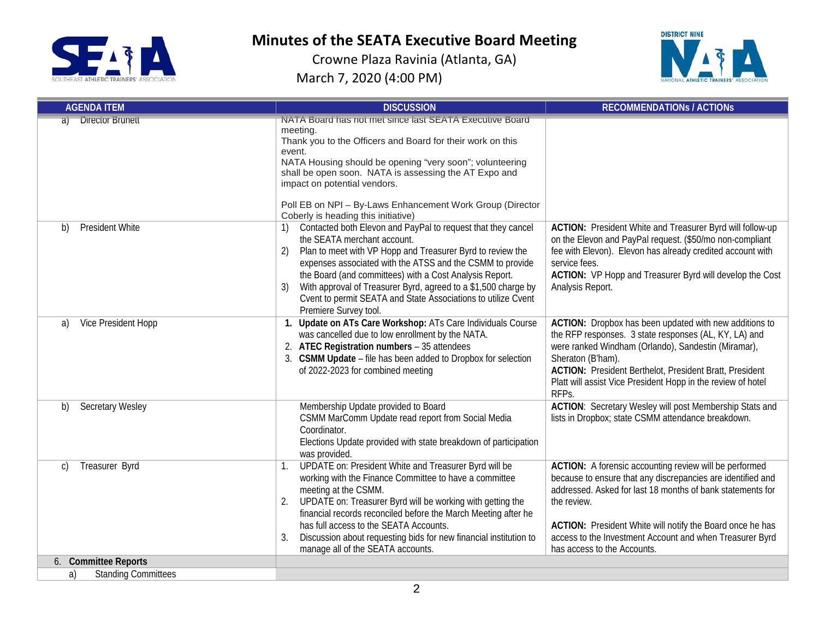



| <b>AGENDA ITEM</b>               | <b>DISCUSSION</b>                                                                                                                                                                                                                                                                                                                                                                                                                                         | <b>RECOMMENDATIONS / ACTIONS</b>                                                                                                                                                                                                                                                                                                                           |  |
|----------------------------------|-----------------------------------------------------------------------------------------------------------------------------------------------------------------------------------------------------------------------------------------------------------------------------------------------------------------------------------------------------------------------------------------------------------------------------------------------------------|------------------------------------------------------------------------------------------------------------------------------------------------------------------------------------------------------------------------------------------------------------------------------------------------------------------------------------------------------------|--|
| <b>Director Brunett</b><br>aï    | NATA Board has not met since last SEATA Executive Board<br>meeting.<br>Thank you to the Officers and Board for their work on this<br>event.<br>NATA Housing should be opening "very soon"; volunteering<br>shall be open soon. NATA is assessing the AT Expo and<br>impact on potential vendors.<br>Poll EB on NPI - By-Laws Enhancement Work Group (Director<br>Coberly is heading this initiative)                                                      |                                                                                                                                                                                                                                                                                                                                                            |  |
| President White<br>b)            | Contacted both Elevon and PayPal to request that they cancel<br>the SEATA merchant account.<br>Plan to meet with VP Hopp and Treasurer Byrd to review the<br>2)<br>expenses associated with the ATSS and the CSMM to provide<br>the Board (and committees) with a Cost Analysis Report.<br>With approval of Treasurer Byrd, agreed to a \$1,500 charge by<br>3)<br>Cvent to permit SEATA and State Associations to utilize Cvent<br>Premiere Survey tool. | ACTION: President White and Treasurer Byrd will follow-up<br>on the Elevon and PayPal request. (\$50/mo non-compliant<br>fee with Elevon). Elevon has already credited account with<br>service fees.<br>ACTION: VP Hopp and Treasurer Byrd will develop the Cost<br>Analysis Report.                                                                       |  |
| Vice President Hopp<br>a)        | 1. Update on ATs Care Workshop: ATs Care Individuals Course<br>was cancelled due to low enrollment by the NATA.<br>2. ATEC Registration numbers - 35 attendees<br>3. CSMM Update - file has been added to Dropbox for selection<br>of 2022-2023 for combined meeting                                                                                                                                                                                      | ACTION: Dropbox has been updated with new additions to<br>the RFP responses. 3 state responses (AL, KY, LA) and<br>were ranked Windham (Orlando), Sandestin (Miramar),<br>Sheraton (B'ham).<br><b>ACTION: President Berthelot, President Bratt, President</b><br>Platt will assist Vice President Hopp in the review of hotel<br>RFPs.                     |  |
| Secretary Wesley<br>b)           | Membership Update provided to Board<br>CSMM MarComm Update read report from Social Media<br>Coordinator.<br>Elections Update provided with state breakdown of participation<br>was provided.                                                                                                                                                                                                                                                              | <b>ACTION:</b> Secretary Wesley will post Membership Stats and<br>lists in Dropbox; state CSMM attendance breakdown.                                                                                                                                                                                                                                       |  |
| Treasurer Byrd<br>C)             | UPDATE on: President White and Treasurer Byrd will be<br>1.<br>working with the Finance Committee to have a committee<br>meeting at the CSMM.<br>UPDATE on: Treasurer Byrd will be working with getting the<br>2.<br>financial records reconciled before the March Meeting after he<br>has full access to the SEATA Accounts.<br>Discussion about requesting bids for new financial institution to<br>3.<br>manage all of the SEATA accounts.             | ACTION: A forensic accounting review will be performed<br>because to ensure that any discrepancies are identified and<br>addressed. Asked for last 18 months of bank statements for<br>the review.<br>ACTION: President White will notify the Board once he has<br>access to the Investment Account and when Treasurer Byrd<br>has access to the Accounts. |  |
| 6. Committee Reports             |                                                                                                                                                                                                                                                                                                                                                                                                                                                           |                                                                                                                                                                                                                                                                                                                                                            |  |
| <b>Standing Committees</b><br>a) |                                                                                                                                                                                                                                                                                                                                                                                                                                                           |                                                                                                                                                                                                                                                                                                                                                            |  |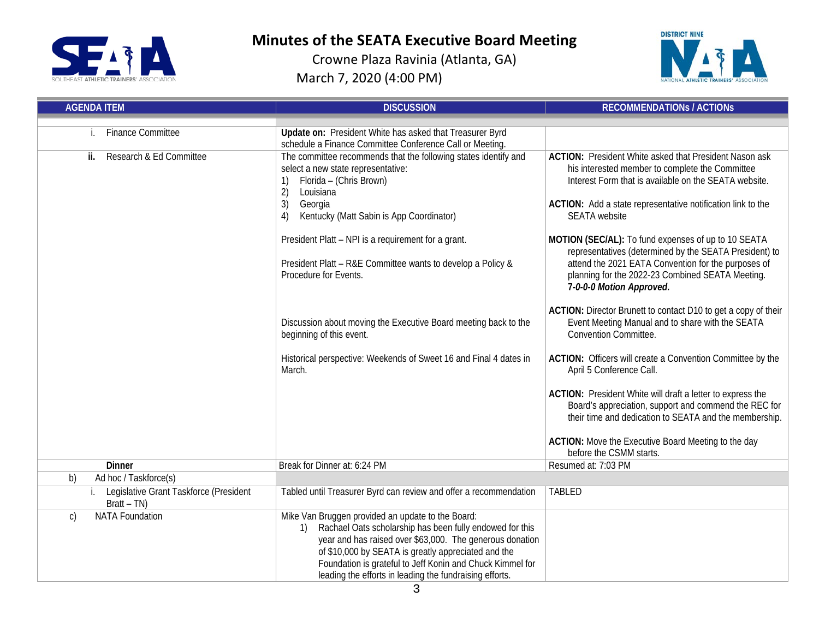



| <b>AGENDA ITEM</b>                                      | <b>DISCUSSION</b>                                                                                                                                                                                                                                                                                                                                              | <b>RECOMMENDATIONS / ACTIONS</b>                                                                                                                                                                                                                                 |  |
|---------------------------------------------------------|----------------------------------------------------------------------------------------------------------------------------------------------------------------------------------------------------------------------------------------------------------------------------------------------------------------------------------------------------------------|------------------------------------------------------------------------------------------------------------------------------------------------------------------------------------------------------------------------------------------------------------------|--|
| <b>Finance Committee</b>                                | Update on: President White has asked that Treasurer Byrd                                                                                                                                                                                                                                                                                                       |                                                                                                                                                                                                                                                                  |  |
|                                                         | schedule a Finance Committee Conference Call or Meeting.                                                                                                                                                                                                                                                                                                       |                                                                                                                                                                                                                                                                  |  |
| Research & Ed Committee<br>ii.                          | The committee recommends that the following states identify and<br>select a new state representative:<br>Florida - (Chris Brown)<br>2)<br>Louisiana<br>3)<br>Georgia<br>Kentucky (Matt Sabin is App Coordinator)<br>4)                                                                                                                                         | <b>ACTION:</b> President White asked that President Nason ask<br>his interested member to complete the Committee<br>Interest Form that is available on the SEATA website.<br>ACTION: Add a state representative notification link to the<br><b>SEATA</b> website |  |
|                                                         | President Platt - NPI is a requirement for a grant.<br>President Platt - R&E Committee wants to develop a Policy &<br>Procedure for Events.                                                                                                                                                                                                                    | MOTION (SEC/AL): To fund expenses of up to 10 SEATA<br>representatives (determined by the SEATA President) to<br>attend the 2021 EATA Convention for the purposes of<br>planning for the 2022-23 Combined SEATA Meeting.<br>7-0-0-0 Motion Approved.             |  |
|                                                         | Discussion about moving the Executive Board meeting back to the<br>beginning of this event.                                                                                                                                                                                                                                                                    | ACTION: Director Brunett to contact D10 to get a copy of their<br>Event Meeting Manual and to share with the SEATA<br><b>Convention Committee.</b>                                                                                                               |  |
|                                                         | Historical perspective: Weekends of Sweet 16 and Final 4 dates in<br>March.                                                                                                                                                                                                                                                                                    | ACTION: Officers will create a Convention Committee by the<br>April 5 Conference Call.                                                                                                                                                                           |  |
|                                                         |                                                                                                                                                                                                                                                                                                                                                                | ACTION: President White will draft a letter to express the<br>Board's appreciation, support and commend the REC for<br>their time and dedication to SEATA and the membership.                                                                                    |  |
|                                                         |                                                                                                                                                                                                                                                                                                                                                                | ACTION: Move the Executive Board Meeting to the day<br>before the CSMM starts.                                                                                                                                                                                   |  |
| <b>Dinner</b>                                           | Break for Dinner at: 6:24 PM                                                                                                                                                                                                                                                                                                                                   | Resumed at: 7:03 PM                                                                                                                                                                                                                                              |  |
| b)<br>Ad hoc / Taskforce(s)                             |                                                                                                                                                                                                                                                                                                                                                                |                                                                                                                                                                                                                                                                  |  |
| Legislative Grant Taskforce (President<br>$Bratt - TN)$ | Tabled until Treasurer Byrd can review and offer a recommendation                                                                                                                                                                                                                                                                                              | <b>TABLED</b>                                                                                                                                                                                                                                                    |  |
| <b>NATA Foundation</b><br>$\mathsf{C}$                  | Mike Van Bruggen provided an update to the Board:<br>Rachael Oats scholarship has been fully endowed for this<br>1)<br>year and has raised over \$63,000. The generous donation<br>of \$10,000 by SEATA is greatly appreciated and the<br>Foundation is grateful to Jeff Konin and Chuck Kimmel for<br>leading the efforts in leading the fundraising efforts. |                                                                                                                                                                                                                                                                  |  |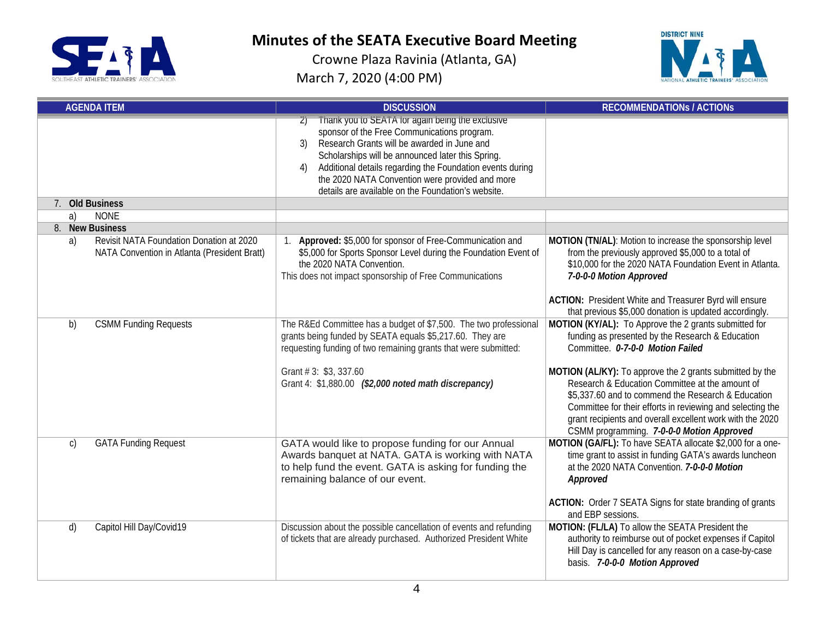



| <b>AGENDA ITEM</b>                                                                             | <b>DISCUSSION</b>                                                                                                                                                                                                                                                                                                                                                                     | <b>RECOMMENDATIONS / ACTIONS</b>                                                                                                                                                                                                                                                                                                                                                                                                                                                           |
|------------------------------------------------------------------------------------------------|---------------------------------------------------------------------------------------------------------------------------------------------------------------------------------------------------------------------------------------------------------------------------------------------------------------------------------------------------------------------------------------|--------------------------------------------------------------------------------------------------------------------------------------------------------------------------------------------------------------------------------------------------------------------------------------------------------------------------------------------------------------------------------------------------------------------------------------------------------------------------------------------|
|                                                                                                | Thank you to SEATA for again being the exclusive<br>sponsor of the Free Communications program.<br>Research Grants will be awarded in June and<br>3)<br>Scholarships will be announced later this Spring.<br>Additional details regarding the Foundation events during<br>4)<br>the 2020 NATA Convention were provided and more<br>details are available on the Foundation's website. |                                                                                                                                                                                                                                                                                                                                                                                                                                                                                            |
| 7. Old Business                                                                                |                                                                                                                                                                                                                                                                                                                                                                                       |                                                                                                                                                                                                                                                                                                                                                                                                                                                                                            |
| <b>NONE</b><br>a)                                                                              |                                                                                                                                                                                                                                                                                                                                                                                       |                                                                                                                                                                                                                                                                                                                                                                                                                                                                                            |
| 8. New Business                                                                                |                                                                                                                                                                                                                                                                                                                                                                                       |                                                                                                                                                                                                                                                                                                                                                                                                                                                                                            |
| Revisit NATA Foundation Donation at 2020<br>a)<br>NATA Convention in Atlanta (President Bratt) | 1. Approved: \$5,000 for sponsor of Free-Communication and<br>\$5,000 for Sports Sponsor Level during the Foundation Event of<br>the 2020 NATA Convention.<br>This does not impact sponsorship of Free Communications                                                                                                                                                                 | MOTION (TN/AL): Motion to increase the sponsorship level<br>from the previously approved \$5,000 to a total of<br>\$10,000 for the 2020 NATA Foundation Event in Atlanta.<br>7-0-0-0 Motion Approved<br>ACTION: President White and Treasurer Byrd will ensure<br>that previous \$5,000 donation is updated accordingly.                                                                                                                                                                   |
| b)<br><b>CSMM Funding Requests</b>                                                             | The R&Ed Committee has a budget of \$7,500. The two professional<br>grants being funded by SEATA equals \$5,217.60. They are<br>requesting funding of two remaining grants that were submitted:<br>Grant # 3: \$3, 337.60<br>Grant 4: \$1,880.00 (\$2,000 noted math discrepancy)                                                                                                     | MOTION (KY/AL): To Approve the 2 grants submitted for<br>funding as presented by the Research & Education<br>Committee. 0-7-0-0 Motion Failed<br>MOTION (AL/KY): To approve the 2 grants submitted by the<br>Research & Education Committee at the amount of<br>\$5,337.60 and to commend the Research & Education<br>Committee for their efforts in reviewing and selecting the<br>grant recipients and overall excellent work with the 2020<br>CSMM programming. 7-0-0-0 Motion Approved |
| <b>GATA Funding Request</b><br>$\mathsf{C}$                                                    | GATA would like to propose funding for our Annual<br>Awards banquet at NATA. GATA is working with NATA<br>to help fund the event. GATA is asking for funding the<br>remaining balance of our event.                                                                                                                                                                                   | MOTION (GA/FL): To have SEATA allocate \$2,000 for a one-<br>time grant to assist in funding GATA's awards luncheon<br>at the 2020 NATA Convention. 7-0-0-0 Motion<br>Approved<br>ACTION: Order 7 SEATA Signs for state branding of grants<br>and EBP sessions.                                                                                                                                                                                                                            |
| Capitol Hill Day/Covid19<br>d)                                                                 | Discussion about the possible cancellation of events and refunding<br>of tickets that are already purchased. Authorized President White                                                                                                                                                                                                                                               | MOTION: (FL/LA) To allow the SEATA President the<br>authority to reimburse out of pocket expenses if Capitol<br>Hill Day is cancelled for any reason on a case-by-case<br>basis. 7-0-0-0 Motion Approved                                                                                                                                                                                                                                                                                   |